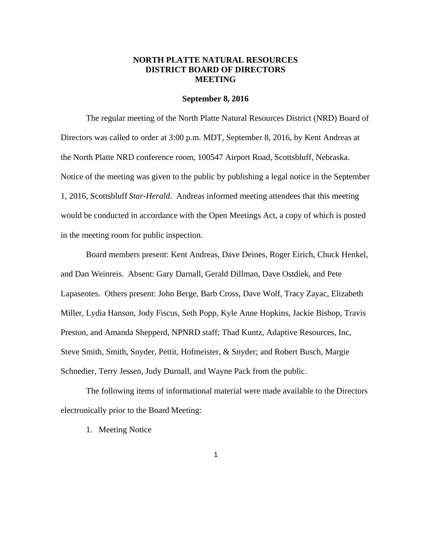# **NORTH PLATTE NATURAL RESOURCES DISTRICT BOARD OF DIRECTORS MEETING**

#### **September 8, 2016**

The regular meeting of the North Platte Natural Resources District (NRD) Board of Directors was called to order at 3:00 p.m. MDT, September 8, 2016, by Kent Andreas at the North Platte NRD conference room, 100547 Airport Road, Scottsbluff, Nebraska. Notice of the meeting was given to the public by publishing a legal notice in the September 1, 2016, Scottsbluff *Star-Herald*. Andreas informed meeting attendees that this meeting would be conducted in accordance with the Open Meetings Act, a copy of which is posted in the meeting room for public inspection.

Board members present: Kent Andreas, Dave Deines, Roger Eirich, Chuck Henkel, and Dan Weinreis. Absent: Gary Darnall, Gerald Dillman, Dave Ostdiek, and Pete Lapaseotes. Others present: John Berge, Barb Cross, Dave Wolf, Tracy Zayac, Elizabeth Miller, Lydia Hanson, Jody Fiscus, Seth Popp, Kyle Anne Hopkins, Jackie Bishop, Travis Preston, and Amanda Shepperd, NPNRD staff; Thad Kuntz, Adaptive Resources, Inc, Steve Smith, Smith, Snyder, Pettit, Hofmeister, & Snyder; and Robert Busch, Margie Schnedier, Terry Jessen, Judy Durnall, and Wayne Pack from the public.

The following items of informational material were made available to the Directors electronically prior to the Board Meeting:

1. Meeting Notice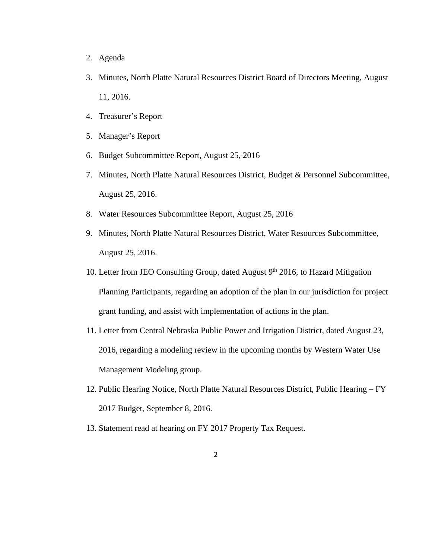- 2. Agenda
- 3. Minutes, North Platte Natural Resources District Board of Directors Meeting, August 11, 2016.
- 4. Treasurer's Report
- 5. Manager's Report
- 6. Budget Subcommittee Report, August 25, 2016
- 7. Minutes, North Platte Natural Resources District, Budget & Personnel Subcommittee, August 25, 2016.
- 8. Water Resources Subcommittee Report, August 25, 2016
- 9. Minutes, North Platte Natural Resources District, Water Resources Subcommittee, August 25, 2016.
- 10. Letter from JEO Consulting Group, dated August  $9<sup>th</sup>$  2016, to Hazard Mitigation Planning Participants, regarding an adoption of the plan in our jurisdiction for project grant funding, and assist with implementation of actions in the plan.
- 11. Letter from Central Nebraska Public Power and Irrigation District, dated August 23, 2016, regarding a modeling review in the upcoming months by Western Water Use Management Modeling group.
- 12. Public Hearing Notice, North Platte Natural Resources District, Public Hearing FY 2017 Budget, September 8, 2016.
- 13. Statement read at hearing on FY 2017 Property Tax Request.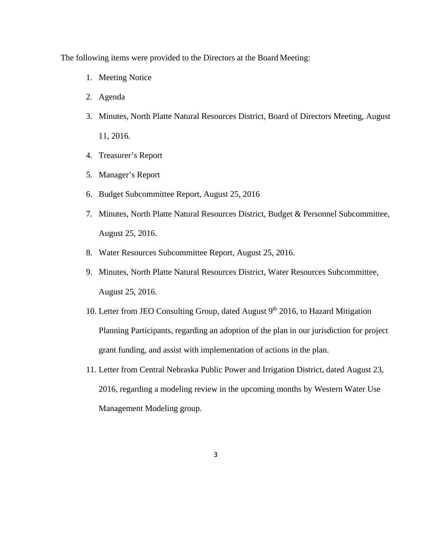The following items were provided to the Directors at the Board Meeting:

- 1. Meeting Notice
- 2. Agenda
- 3. Minutes, North Platte Natural Resources District, Board of Directors Meeting, August 11, 2016.
- 4. Treasurer's Report
- 5. Manager's Report
- 6. Budget Subcommittee Report, August 25, 2016
- 7. Minutes, North Platte Natural Resources District, Budget & Personnel Subcommittee, August 25, 2016.
- 8. Water Resources Subcommittee Report, August 25, 2016.
- 9. Minutes, North Platte Natural Resources District, Water Resources Subcommittee, August 25, 2016.
- 10. Letter from JEO Consulting Group, dated August  $9<sup>th</sup>$  2016, to Hazard Mitigation Planning Participants, regarding an adoption of the plan in our jurisdiction for project grant funding, and assist with implementation of actions in the plan.
- 11. Letter from Central Nebraska Public Power and Irrigation District, dated August 23, 2016, regarding a modeling review in the upcoming months by Western Water Use Management Modeling group.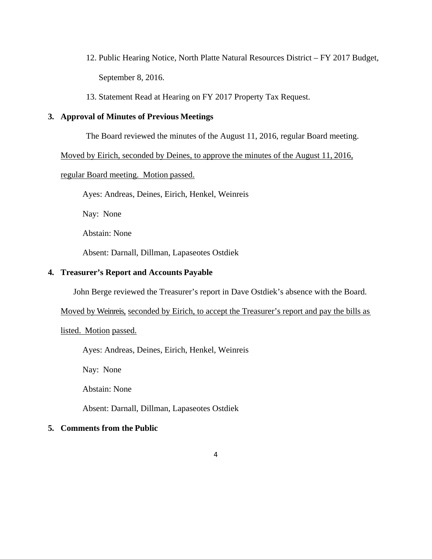- 12. Public Hearing Notice, North Platte Natural Resources District FY 2017 Budget, September 8, 2016.
- 13. Statement Read at Hearing on FY 2017 Property Tax Request.

# **3. Approval of Minutes of Previous Meetings**

The Board reviewed the minutes of the August 11, 2016, regular Board meeting.

Moved by Eirich, seconded by Deines, to approve the minutes of the August 11, 2016,

## regular Board meeting. Motion passed.

Ayes: Andreas, Deines, Eirich, Henkel, Weinreis

Nay: None

Abstain: None

Absent: Darnall, Dillman, Lapaseotes Ostdiek

# **4. Treasurer's Report and Accounts Payable**

John Berge reviewed the Treasurer's report in Dave Ostdiek's absence with the Board.

Moved by Weinreis, seconded by Eirich, to accept the Treasurer's report and pay the bills as

listed. Motion passed.

Ayes: Andreas, Deines, Eirich, Henkel, Weinreis

Nay: None

Abstain: None

Absent: Darnall, Dillman, Lapaseotes Ostdiek

## **5. Comments from the Public**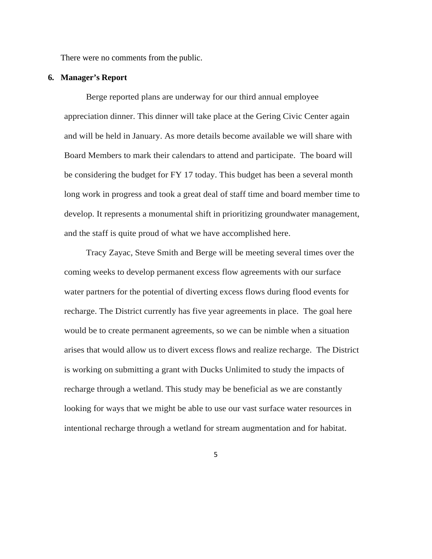There were no comments from the public.

## **6. Manager's Report**

Berge reported plans are underway for our third annual employee appreciation dinner. This dinner will take place at the Gering Civic Center again and will be held in January. As more details become available we will share with Board Members to mark their calendars to attend and participate. The board will be considering the budget for FY 17 today. This budget has been a several month long work in progress and took a great deal of staff time and board member time to develop. It represents a monumental shift in prioritizing groundwater management, and the staff is quite proud of what we have accomplished here.

Tracy Zayac, Steve Smith and Berge will be meeting several times over the coming weeks to develop permanent excess flow agreements with our surface water partners for the potential of diverting excess flows during flood events for recharge. The District currently has five year agreements in place. The goal here would be to create permanent agreements, so we can be nimble when a situation arises that would allow us to divert excess flows and realize recharge. The District is working on submitting a grant with Ducks Unlimited to study the impacts of recharge through a wetland. This study may be beneficial as we are constantly looking for ways that we might be able to use our vast surface water resources in intentional recharge through a wetland for stream augmentation and for habitat.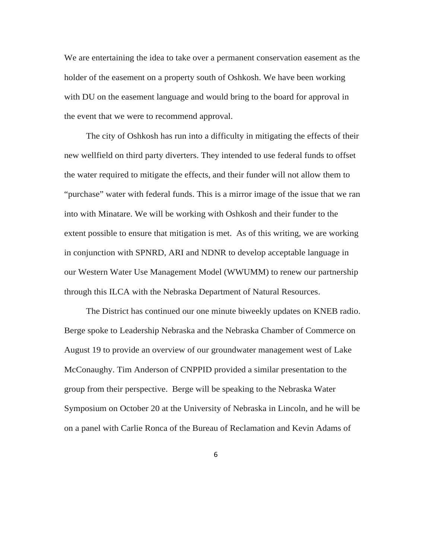We are entertaining the idea to take over a permanent conservation easement as the holder of the easement on a property south of Oshkosh. We have been working with DU on the easement language and would bring to the board for approval in the event that we were to recommend approval.

The city of Oshkosh has run into a difficulty in mitigating the effects of their new wellfield on third party diverters. They intended to use federal funds to offset the water required to mitigate the effects, and their funder will not allow them to "purchase" water with federal funds. This is a mirror image of the issue that we ran into with Minatare. We will be working with Oshkosh and their funder to the extent possible to ensure that mitigation is met. As of this writing, we are working in conjunction with SPNRD, ARI and NDNR to develop acceptable language in our Western Water Use Management Model (WWUMM) to renew our partnership through this ILCA with the Nebraska Department of Natural Resources.

The District has continued our one minute biweekly updates on KNEB radio. Berge spoke to Leadership Nebraska and the Nebraska Chamber of Commerce on August 19 to provide an overview of our groundwater management west of Lake McConaughy. Tim Anderson of CNPPID provided a similar presentation to the group from their perspective.Berge will be speaking to the Nebraska Water Symposium on October 20 at the University of Nebraska in Lincoln, and he will be on a panel with Carlie Ronca of the Bureau of Reclamation and Kevin Adams of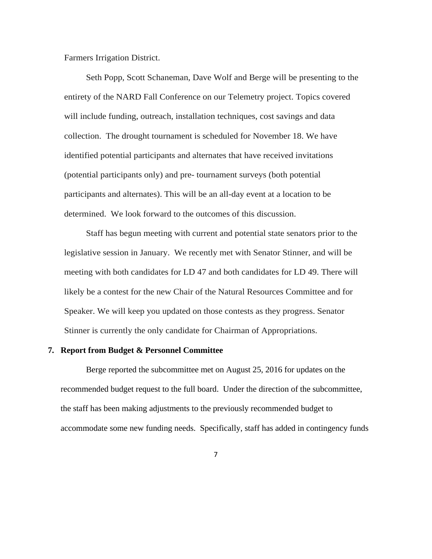Farmers Irrigation District.

Seth Popp, Scott Schaneman, Dave Wolf and Berge will be presenting to the entirety of the NARD Fall Conference on our Telemetry project. Topics covered will include funding, outreach, installation techniques, cost savings and data collection. The drought tournament is scheduled for November 18. We have identified potential participants and alternates that have received invitations (potential participants only) and pre- tournament surveys (both potential participants and alternates). This will be an all-day event at a location to be determined. We look forward to the outcomes of this discussion.

Staff has begun meeting with current and potential state senators prior to the legislative session in January. We recently met with Senator Stinner, and will be meeting with both candidates for LD 47 and both candidates for LD 49. There will likely be a contest for the new Chair of the Natural Resources Committee and for Speaker. We will keep you updated on those contests as they progress. Senator Stinner is currently the only candidate for Chairman of Appropriations.

#### **7. Report from Budget & Personnel Committee**

Berge reported the subcommittee met on August 25, 2016 for updates on the recommended budget request to the full board. Under the direction of the subcommittee, the staff has been making adjustments to the previously recommended budget to accommodate some new funding needs. Specifically, staff has added in contingency funds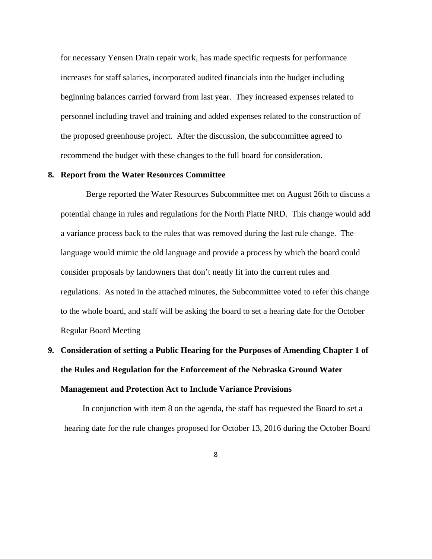for necessary Yensen Drain repair work, has made specific requests for performance increases for staff salaries, incorporated audited financials into the budget including beginning balances carried forward from last year. They increased expenses related to personnel including travel and training and added expenses related to the construction of the proposed greenhouse project. After the discussion, the subcommittee agreed to recommend the budget with these changes to the full board for consideration.

#### **8. Report from the Water Resources Committee**

Berge reported the Water Resources Subcommittee met on August 26th to discuss a potential change in rules and regulations for the North Platte NRD. This change would add a variance process back to the rules that was removed during the last rule change. The language would mimic the old language and provide a process by which the board could consider proposals by landowners that don't neatly fit into the current rules and regulations. As noted in the attached minutes, the Subcommittee voted to refer this change to the whole board, and staff will be asking the board to set a hearing date for the October Regular Board Meeting

# **9. Consideration of setting a Public Hearing for the Purposes of Amending Chapter 1 of the Rules and Regulation for the Enforcement of the Nebraska Ground Water Management and Protection Act to Include Variance Provisions**

In conjunction with item 8 on the agenda, the staff has requested the Board to set a hearing date for the rule changes proposed for October 13, 2016 during the October Board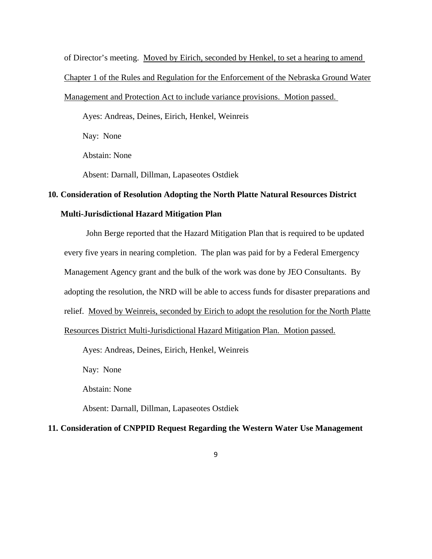of Director's meeting. Moved by Eirich, seconded by Henkel, to set a hearing to amend

Chapter 1 of the Rules and Regulation for the Enforcement of the Nebraska Ground Water

#### Management and Protection Act to include variance provisions. Motion passed.

Ayes: Andreas, Deines, Eirich, Henkel, Weinreis

Nay: None

Abstain: None

Absent: Darnall, Dillman, Lapaseotes Ostdiek

# **10. Consideration of Resolution Adopting the North Platte Natural Resources District**

# **Multi-Jurisdictional Hazard Mitigation Plan**

John Berge reported that the Hazard Mitigation Plan that is required to be updated every five years in nearing completion. The plan was paid for by a Federal Emergency Management Agency grant and the bulk of the work was done by JEO Consultants. By adopting the resolution, the NRD will be able to access funds for disaster preparations and relief. Moved by Weinreis, seconded by Eirich to adopt the resolution for the North Platte Resources District Multi-Jurisdictional Hazard Mitigation Plan. Motion passed.

Ayes: Andreas, Deines, Eirich, Henkel, Weinreis

Nay: None

Abstain: None

Absent: Darnall, Dillman, Lapaseotes Ostdiek

# **11. Consideration of CNPPID Request Regarding the Western Water Use Management**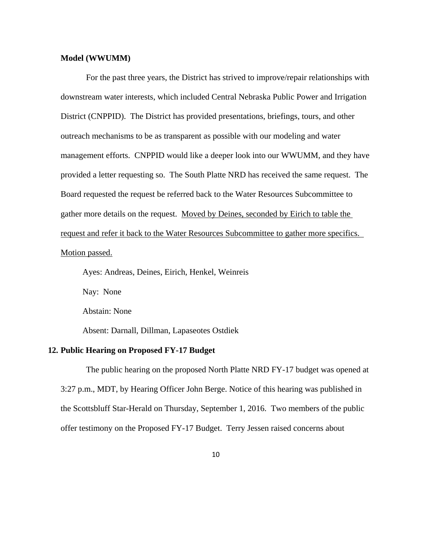#### **Model (WWUMM)**

 For the past three years, the District has strived to improve/repair relationships with downstream water interests, which included Central Nebraska Public Power and Irrigation District (CNPPID). The District has provided presentations, briefings, tours, and other outreach mechanisms to be as transparent as possible with our modeling and water management efforts. CNPPID would like a deeper look into our WWUMM, and they have provided a letter requesting so. The South Platte NRD has received the same request. The Board requested the request be referred back to the Water Resources Subcommittee to gather more details on the request. Moved by Deines, seconded by Eirich to table the request and refer it back to the Water Resources Subcommittee to gather more specifics. Motion passed.

Ayes: Andreas, Deines, Eirich, Henkel, Weinreis

Nay: None

Abstain: None

Absent: Darnall, Dillman, Lapaseotes Ostdiek

# **12. Public Hearing on Proposed FY-17 Budget**

The public hearing on the proposed North Platte NRD FY-17 budget was opened at 3:27 p.m., MDT, by Hearing Officer John Berge. Notice of this hearing was published in the Scottsbluff Star-Herald on Thursday, September 1, 2016. Two members of the public offer testimony on the Proposed FY-17 Budget. Terry Jessen raised concerns about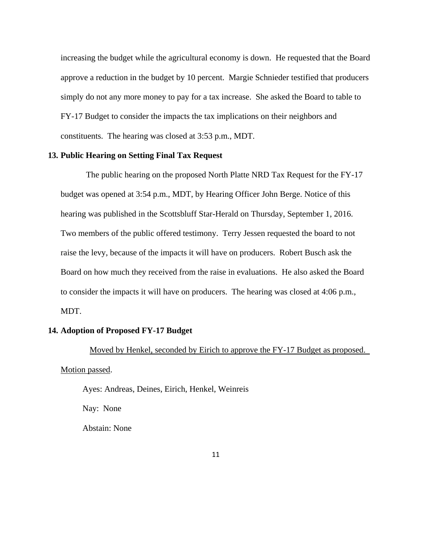increasing the budget while the agricultural economy is down. He requested that the Board approve a reduction in the budget by 10 percent. Margie Schnieder testified that producers simply do not any more money to pay for a tax increase. She asked the Board to table to FY-17 Budget to consider the impacts the tax implications on their neighbors and constituents. The hearing was closed at 3:53 p.m., MDT.

## **13. Public Hearing on Setting Final Tax Request**

The public hearing on the proposed North Platte NRD Tax Request for the FY-17 budget was opened at 3:54 p.m., MDT, by Hearing Officer John Berge. Notice of this hearing was published in the Scottsbluff Star-Herald on Thursday, September 1, 2016. Two members of the public offered testimony. Terry Jessen requested the board to not raise the levy, because of the impacts it will have on producers. Robert Busch ask the Board on how much they received from the raise in evaluations. He also asked the Board to consider the impacts it will have on producers. The hearing was closed at 4:06 p.m., MDT.

### **14. Adoption of Proposed FY-17 Budget**

 Moved by Henkel, seconded by Eirich to approve the FY-17 Budget as proposed. Motion passed.

Ayes: Andreas, Deines, Eirich, Henkel, Weinreis

Nay: None

Abstain: None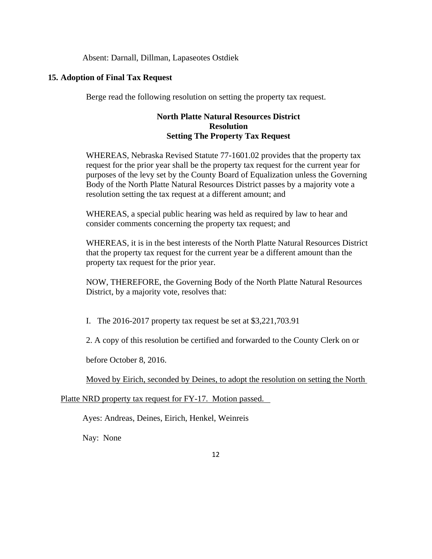Absent: Darnall, Dillman, Lapaseotes Ostdiek

# **15. Adoption of Final Tax Request**

Berge read the following resolution on setting the property tax request.

# **North Platte Natural Resources District Resolution Setting The Property Tax Request**

WHEREAS, Nebraska Revised Statute 77-1601.02 provides that the property tax request for the prior year shall be the property tax request for the current year for purposes of the levy set by the County Board of Equalization unless the Governing Body of the North Platte Natural Resources District passes by a majority vote a resolution setting the tax request at a different amount; and

WHEREAS, a special public hearing was held as required by law to hear and consider comments concerning the property tax request; and

WHEREAS, it is in the best interests of the North Platte Natural Resources District that the property tax request for the current year be a different amount than the property tax request for the prior year.

NOW, THEREFORE, the Governing Body of the North Platte Natural Resources District, by a majority vote, resolves that:

I. The 2016-2017 property tax request be set at \$3,221,703.91

2. A copy of this resolution be certified and forwarded to the County Clerk on or

before October 8, 2016.

Moved by Eirich, seconded by Deines, to adopt the resolution on setting the North

Platte NRD property tax request for FY-17. Motion passed.

Ayes: Andreas, Deines, Eirich, Henkel, Weinreis

Nay: None